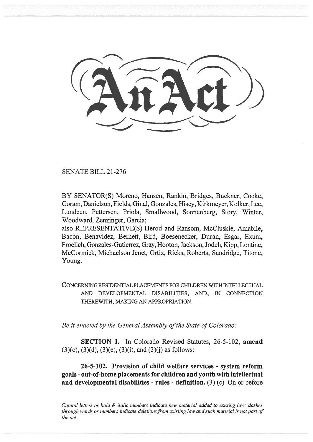SENATE BILL 21-276

BY SENATOR(S) Moreno, Hansen, Rankin, Bridges, Buckner, Cooke, Coram, Danielson, Fields, Ginal, Gonzales, Hisey, Kirkmeyer, Kolker, Lee, Lundeen, Pettersen, Priola, Smallwood, Sonnenberg, Story, Winter, Woodward, Zenzinger, Garcia;

also REPRESENTATIVE(S) Herod and Ransom, McCluskie, Amabile, Bacon, Benavidez, Bernett, Bird, Boesenecker, Duran, Esgar, Exum, Froelich, Gonzales-Gutierrez, Gray, Hooton, Jackson, Jodeh, Kipp, Lontine, McCormick, Michaelson Jenet, Ortiz, Ricks, Roberts, Sandridge, Titone, Young.

CONCERNING RESIDENTIAL PLACEMENTS FOR CHILDREN WITH INTELLECTUAL AND DEVELOPMENTAL DISABILITIES, AND, IN CONNECTION THEREWITH, MAKING AN APPROPRIATION.

Be it enacted by the General Assembly of the State of Colorado:

SECTION 1. In Colorado Revised Statutes, 26-5-102, amend  $(3)(c)$ ,  $(3)(d)$ ,  $(3)(e)$ ,  $(3)(i)$ , and  $(3)(j)$  as follows:

26-5-102. Provision of child welfare services - system reform goals - out-of-home placements for children and youth with intellectual and developmental disabilities - rules - definition.  $(3)(c)$  On or before

Capital letters or bold & italic numbers indicate new material added to existing law; dashes through words or numbers indicate deletions from existing law and such material is not part of the act.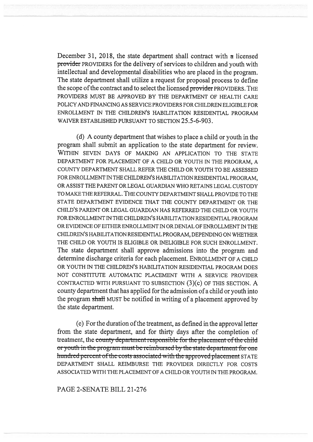December 31, 2018, the state department shall contract with a licensed provider PROVIDERS for the delivery of services to children and youth with intellectual and developmental disabilities who are placed in the program. The state department shall utilize a request for proposal process to define the scope of the contract and to select the licensed provider PROVIDERS. THE PROVIDERS MUST BE APPROVED BY THE DEPARTMENT OF HEALTH CARE POLICY AND FINANCING AS SERVICE PROVIDERS FOR CHILDREN ELIGIBLE FOR ENROLLMENT IN THE CHILDREN'S HABILITATION RESIDENTIAL PROGRAM WAIVER ESTABLISHED PURSUANT TO SECTION 25.5-6-903.

(d) A county department that wishes to place a child or youth in the program shall submit an application to the state department for review. WITHIN SEVEN DAYS OF MAKING AN APPLICATION TO THE STATE DEPARTMENT FOR PLACEMENT OF A CHILD OR YOUTH IN THE PROGRAM, A COUNTY DEPARTMENT SHALL REFER THE CHILD OR YOUTH TO BE ASSESSED FOR ENROLLMENT IN THE CHILDREN'S HABILITATION RESIDENTIAL PROGRAM, OR ASSIST THE PARENT OR LEGAL GUARDIAN WHO RETAINS LEGAL CUSTODY TO MAKE THE REFERRAL. THE COUNTY DEPARTMENT SHALL PROVIDE TO THE STATE DEPARTMENT EVIDENCE THAT THE COUNTY DEPARTMENT OR THE CHILD'S PARENT OR LEGAL GUARDIAN HAS REFERRED THE CHILD OR YOUTH FOR ENROLLMENT IN THE CHILDREN'S HABILITATION RESIDENTIAL PROGRAM OR EVIDENCE OF EITHER ENROLLMENT IN OR DENIAL OF ENROLLMENT IN THE CHILDREN'S HABILITATION RESIDENTIAL PROGRAM, DEPENDING ON WHETHER THE CHILD OR YOUTH IS ELIGIBLE OR INELIGIBLE FOR SUCH ENROLLMENT. The state department shall approve admissions into the program and determine discharge criteria for each placement. ENROLLMENT OF A CHILD OR YOUTH IN THE CHILDREN'S HABILITATION RESIDENTIAL PROGRAM DOES NOT CONSTITUTE AUTOMATIC PLACEMENT WITH A SERVICE PROVIDER CONTRACTED WITH PURSUANT TO SUBSECTION (3)(c) OF THIS SECTION. A county department that has applied for the admission of a child or youth into the program shall MUST be notified in writing of a placement approved by the state department.

(e) For the duration of the treatment, as defined in the approval letter from the state department, and for thirty days after the completion of treatment, the county department responsible for the placement of the child or youth in the program must-be-reimbursed by the state-department-for one hundred percent of the costs associated with the approved placement STATE DEPARTMENT SHALL REIMBURSE THE PROVIDER DIRECTLY FOR COSTS ASSOCIATED WITH THE PLACEMENT OF A CHILD OR YOUTH IN THE PROGRAM.

PAGE 2-SENATE BILL 21-276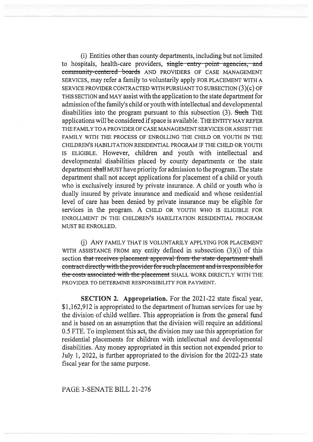(i) Entities other than county departments, including but not limited to hospitals, health-care providers, single entry point agencies, and community-centered boards AND PROVIDERS OF CASE MANAGEMENT SERVICES, may refer a family to voluntarily apply FOR PLACEMENT WITH A SERVICE PROVIDER CONTRACTED WITH PURSUANT TO SUBSECTION (3)(c) OF THIS SECTION and MAY assist with the application to the state department for admission of the family's child or youth with intellectual and developmental disabilities into the program pursuant to this subsection (3). Such THE applications will be considered if space is available. THE ENTITY MAY REFER THE FAMILY TO A PROVIDER OF CASE MANAGEMENT SERVICES OR ASSIST THE FAMILY WITH THE PROCESS OF ENROLLING THE CHILD OR YOUTH IN THE CHILDREN'S HABILITATION RESIDENTIAL PROGRAM IF THE CHILD OR YOUTH IS ELIGIBLE. However, children and youth with intellectual and developmental disabilities placed by county departments or the state department shall MUST have priority for admission to the program. The state department shall not accept applications for placement of a child or youth who is exclusively insured by private insurance. A child or youth who is dually insured by private insurance and medicaid and whose residential level of care has been denied by private insurance may be eligible for services in the program. A CHILD OR YOUTH WHO IS ELIGIBLE FOR ENROLLMENT IN THE CHILDREN'S HABILITATION RESIDENTIAL PROGRAM MUST BE ENROLLED.

(j) ANY FAMILY THAT IS VOLUNTARILY APPLYING FOR PLACEMENT WITH ASSISTANCE FROM any entity defined in subsection (3)(i) of this section that receives placement approval from the state department shall contract directly with the provider for such placement and is responsible for the costs associated with the placement SHALL WORK DIRECTLY WITH THE PROVIDER TO DETERMINE RESPONSIBILITY FOR PAYMENT.

SECTION 2. Appropriation. For the 2021-22 state fiscal year, \$1,162,912 is appropriated to the department of human services for use by the division of child welfare. This appropriation is from the general fund and is based on an assumption that the division will require an additional 0.5 FTE. To implement this act, the division may use this appropriation for residential placements for children with intellectual and developmental disabilities. Any money appropriated in this section not expended prior to July 1, 2022, is further appropriated to the division for the 2022-23 state fiscal year for the same purpose.

## PAGE 3-SENATE BILL 21-276